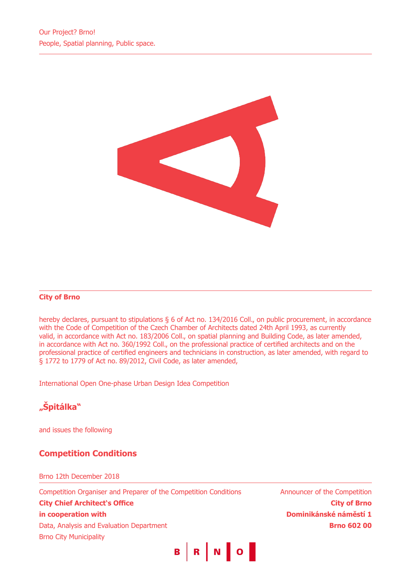

## **City of Brno**

hereby declares, pursuant to stipulations § 6 of Act no. 134/2016 Coll., on public procurement, in accordance with the Code of Competition of the Czech Chamber of Architects dated 24th April 1993, as currently valid, in accordance with Act no. 183/2006 Coll., on spatial planning and Building Code, as later amended, in accordance with Act no. 360/1992 Coll., on the professional practice of certified architects and on the professional practice of certified engineers and technicians in construction, as later amended, with regard to § 1772 to 1779 of Act no. 89/2012, Civil Code, as later amended,

International Open One-phase Urban Design Idea Competition

# **"Špitálka"**

and issues the following

## **Competition Conditions**

#### Brno 12th December 2018

Competition Organiser and Preparer of the Competition Conditions **City Chief Architect's Office in cooperation with** Data, Analysis and Evaluation Department Brno City Municipality

Announcer of the Competition **City of Brno Dominikánské náměstí 1 Brno 602 00**

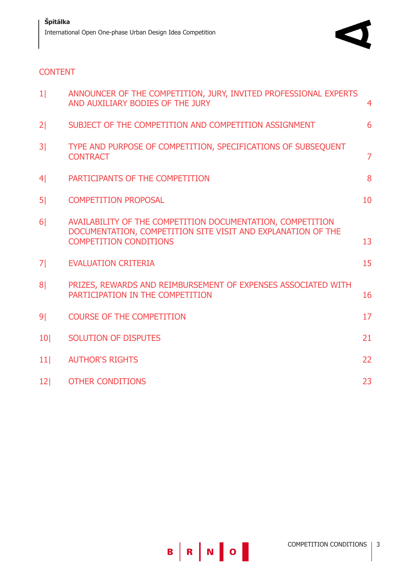

## **CONTENT**

| 1 <sup>1</sup>  | ANNOUNCER OF THE COMPETITION, JURY, INVITED PROFESSIONAL EXPERTS<br>AND AUXILIARY BODIES OF THE JURY                                                        | 4              |
|-----------------|-------------------------------------------------------------------------------------------------------------------------------------------------------------|----------------|
| 2 <sub>1</sub>  | SUBJECT OF THE COMPETITION AND COMPETITION ASSIGNMENT                                                                                                       | 6              |
| 3 <sup>1</sup>  | TYPE AND PURPOSE OF COMPETITION, SPECIFICATIONS OF SUBSEQUENT<br><b>CONTRACT</b>                                                                            | $\overline{7}$ |
| 4 <sup>1</sup>  | PARTICIPANTS OF THE COMPETITION                                                                                                                             | 8              |
| 5 <sup>1</sup>  | <b>COMPETITION PROPOSAL</b>                                                                                                                                 | 10             |
| 6 <sup>1</sup>  | AVAILABILITY OF THE COMPETITION DOCUMENTATION, COMPETITION<br>DOCUMENTATION, COMPETITION SITE VISIT AND EXPLANATION OF THE<br><b>COMPETITION CONDITIONS</b> | 13             |
| 7 <sup>1</sup>  | <b>EVALUATION CRITERIA</b>                                                                                                                                  | 15             |
| 8 <sup>1</sup>  | PRIZES, REWARDS AND REIMBURSEMENT OF EXPENSES ASSOCIATED WITH<br>PARTICIPATION IN THE COMPETITION                                                           | 16             |
| 9 <sub>1</sub>  | <b>COURSE OF THE COMPETITION</b>                                                                                                                            | 17             |
| 10 <sup>1</sup> | <b>SOLUTION OF DISPUTES</b>                                                                                                                                 | 21             |
| 11              | <b>AUTHOR'S RIGHTS</b>                                                                                                                                      | 22             |
| 12              | <b>OTHER CONDITIONS</b>                                                                                                                                     | 23             |

B | R | N | O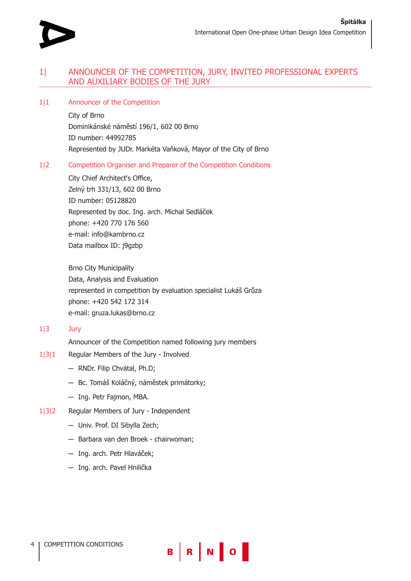

## 1| ANNOUNCER OF THE COMPETITION, JURY, INVITED PROFESSIONAL EXPERTS AND AUXILIARY BODIES OF THE JURY

#### 1|1 Announcer of the Competition

City of Brno Dominikánské náměstí 196/1, 602 00 Brno ID number: 44992785 Represented by JUDr. Markéta Vaňková, Mayor of the City of Brno

## 1|2 Competition Organiser and Preparer of the Competition Conditions

City Chief Architect's Office, Zelný trh 331/13, 602 00 Brno ID number: 05128820 Represented by doc. Ing. arch. Michal Sedláček phone: +420 770 176 560 e-mail: info@kambrno.cz Data mailbox ID: j9gzbp

Brno City Municipality Data, Analysis and Evaluation represented in competition by evaluation specialist Lukáš Grůza phone: +420 542 172 314 e-mail: gruza.lukas@brno.cz

## 1|3 Jury

Announcer of the Competition named following jury members

- 1|3|1 Regular Members of the Jury Involved
	- **─** RNDr. Filip Chvátal, Ph.D;
	- **─** Bc. Tomáš Koláčný, náměstek primátorky;
	- **─** Ing. Petr Fajmon, MBA.
- 1|3|2 Regular Members of Jury Independent
	- **─** Univ. Prof. DI Sibylla Zech;
	- **─** Barbara van den Broek chairwoman;
	- **─** Ing. arch. Petr Hlaváček;
	- **─** Ing. arch. Pavel Hnilička

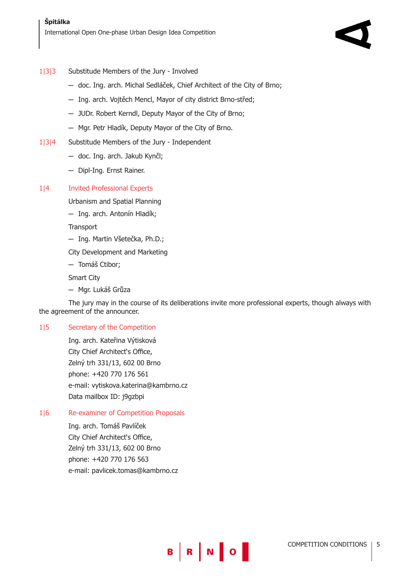## 1|3|3 Substitude Members of the Jury - Involved

- **─** doc. Ing. arch. Michal Sedláček, Chief Architect of the City of Brno;
- **─** Ing. arch. Vojtěch Mencl, Mayor of city district Brno-střed;
- **─** JUDr. Robert Kerndl, Deputy Mayor of the City of Brno;
- **─** Mgr. Petr Hladík, Deputy Mayor of the City of Brno.
- 1|3|4 Substitude Members of the Jury Independent
	- **─** doc. Ing. arch. Jakub Kynčl;
	- **─** Dipl-Ing. Ernst Rainer.

## 1|4 Invited Professional Experts

Urbanism and Spatial Planning

**─** Ing. arch. Antonín Hladík;

**Transport** 

- **─** Ing. Martin Všetečka, Ph.D.;
- City Development and Marketing

**─** Tomáš Ctibor;

Smart City

**─** Mgr. Lukáš Grůza

The jury may in the course of its deliberations invite more professional experts, though always with the agreement of the announcer.

B R N O

## 1|5 Secretary of the Competition

Ing. arch. Kateřina Výtisková City Chief Architect's Office, Zelný trh 331/13, 602 00 Brno phone: +420 770 176 561 e-mail: vytiskova.katerina@kambrno.cz Data mailbox ID: j9gzbpi

## 1|6 Re-examiner of Competition Proposals

Ing. arch. Tomáš Pavlíček City Chief Architect's Office, Zelný trh 331/13, 602 00 Brno phone: +420 770 176 563 e-mail: pavlicek.tomas@kambrno.cz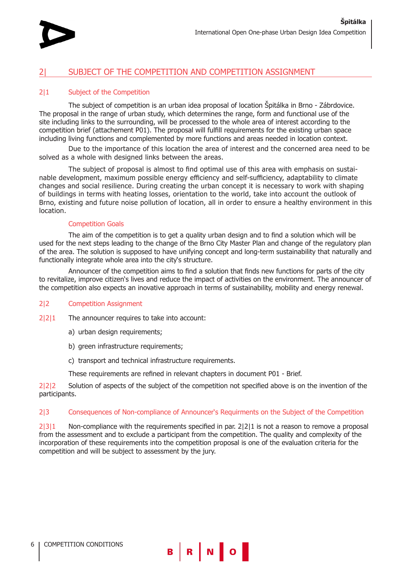

## 2| SUBJECT OF THE COMPETITION AND COMPETITION ASSIGNMENT

## 2|1 Subject of the Competition

The subject of competition is an urban idea proposal of location Špitálka in Brno - Zábrdovice. The proposal in the range of urban study, which determines the range, form and functional use of the site including links to the surrounding, will be processed to the whole area of interest according to the competition brief (attachement P01). The proposal will fulfill requirements for the existing urban space including living functions and complemented by more functions and areas needed in location context.

Due to the importance of this location the area of interest and the concerned area need to be solved as a whole with designed links between the areas.

The subject of proposal is almost to find optimal use of this area with emphasis on sustainable development, maximum possible energy efficiency and self-sufficiency, adaptability to climate changes and social resilience. During creating the urban concept it is necessary to work with shaping of buildings in terms with heating losses, orientation to the world, take into account the outlook of Brno, existing and future noise pollution of location, all in order to ensure a healthy environment in this location.

## Competition Goals

The aim of the competition is to get a quality urban design and to find a solution which will be used for the next steps leading to the change of the Brno City Master Plan and change of the regulatory plan of the area. The solution is supposed to have unifying concept and long-term sustainability that naturally and functionally integrate whole area into the city's structure.

Announcer of the competition aims to find a solution that finds new functions for parts of the city to revitalize, improve citizen's lives and reduce the impact of activities on the environment. The announcer of the competition also expects an inovative approach in terms of sustainability, mobility and energy renewal.

#### 2|2 Competition Assignment

2|2|1 The announcer requires to take into account:

- a) urban design requirements;
- b) green infrastructure requirements;
- c) transport and technical infrastructure requirements.
- These requirements are refined in relevant chapters in document P01 Brief.

2|2|2 Solution of aspects of the subject of the competition not specified above is on the invention of the participants.

#### 2|3 Consequences of Non-compliance of Announcer's Requirments on the Subject of the Competition

2|3|1 Non-compliance with the requirements specified in par. 2|2|1 is not a reason to remove a proposal from the assessment and to exclude a participant from the competition. The quality and complexity of the incorporation of these requirements into the competition proposal is one of the evaluation criteria for the competition and will be subject to assessment by the jury.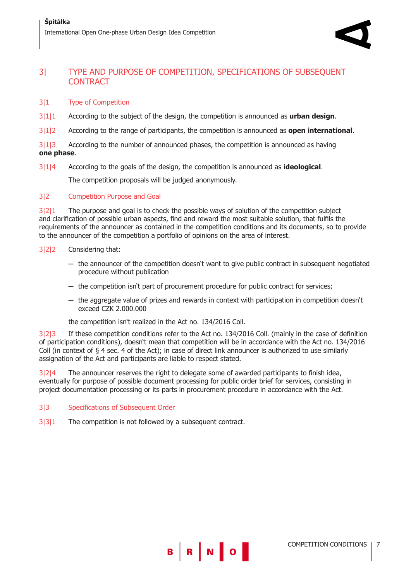## 3| TYPE AND PURPOSE OF COMPETITION, SPECIFICATIONS OF SUBSEQUENT **CONTRACT**

## 3|1 Type of Competition

- 3|1|1 According to the subject of the design, the competition is announced as **urban design**.
- 3|1|2 According to the range of participants, the competition is announced as **open international**.

3|1|3 According to the number of announced phases, the competition is announced as having **one phase**.

3|1|4 According to the goals of the design, the competition is announced as **ideological**.

The competition proposals will be judged anonymously.

## 3|2 Competition Purpose and Goal

3|2|1 The purpose and goal is to check the possible ways of solution of the competition subject and clarification of possible urban aspects, find and reward the most suitable solution, that fulfils the requirements of the announcer as contained in the competition conditions and its documents, so to provide to the announcer of the competition a portfolio of opinions on the area of interest.

- 3|2|2 Considering that:
	- **─** the announcer of the competition doesn't want to give public contract in subsequent negotiated procedure without publication
	- **─** the competition isn't part of procurement procedure for public contract for services;
	- **─** the aggregate value of prizes and rewards in context with participation in competition doesn't exceed CZK 2.000.000

the competition isn't realized in the Act no. 134/2016 Coll.

3|2|3 If these competition conditions refer to the Act no. 134/2016 Coll. (mainly in the case of definition of participation conditions), doesn't mean that competition will be in accordance with the Act no. 134/2016 Coll (in context of § 4 sec. 4 of the Act); in case of direct link announcer is authorized to use similarly assignation of the Act and participants are liable to respect stated.

B R N O

 $3|2|4$  The announcer reserves the right to delegate some of awarded participants to finish idea, eventually for purpose of possible document processing for public order brief for services, consisting in project documentation processing or its parts in procurement procedure in accordance with the Act.

- 3|3 Specifications of Subsequent Order
- 3|3|1 The competition is not followed by a subsequent contract.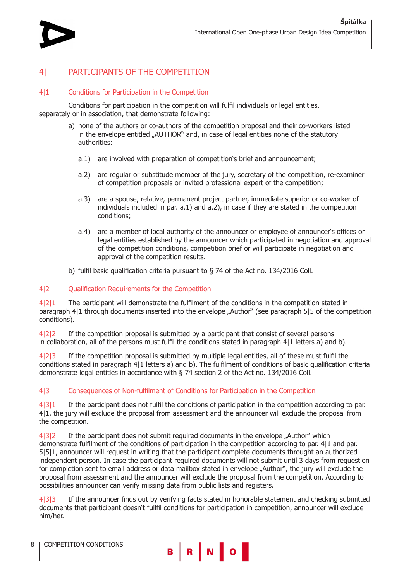

## PARTICIPANTS OF THE COMPETITION

#### 4|1 Conditions for Participation in the Competition

Conditions for participation in the competition will fulfil individuals or legal entities, separately or in association, that demonstrate following:

- a) none of the authors or co-authors of the competition proposal and their co-workers listed in the envelope entitled "AUTHOR" and, in case of legal entities none of the statutory authorities:
	- a.1) are involved with preparation of competition's brief and announcement;
	- a.2) are regular or substitude member of the jury, secretary of the competition, re-examiner of competition proposals or invited professional expert of the competition;
	- a.3) are a spouse, relative, permanent project partner, immediate superior or co-worker of individuals included in par. a.1) and a.2), in case if they are stated in the competition conditions;
	- a.4) are a member of local authority of the announcer or employee of announcer's offices or legal entities established by the announcer which participated in negotiation and approval of the competition conditions, competition brief or will participate in negotiation and approval of the competition results.
- b) fulfil basic qualification criteria pursuant to § 74 of the Act no. 134/2016 Coll.

#### 4|2 Qualification Requirements for the Competition

4|2|1 The participant will demonstrate the fulfilment of the conditions in the competition stated in paragraph 4|1 through documents inserted into the envelope "Author" (see paragraph 5|5 of the competition conditions).

4|2|2 If the competition proposal is submitted by a participant that consist of several persons in collaboration, all of the persons must fulfil the conditions stated in paragraph 4|1 letters a) and b).

4|2|3 If the competition proposal is submitted by multiple legal entities, all of these must fulfil the conditions stated in paragraph 4|1 letters a) and b). The fulfilment of conditions of basic qualification criteria demonstrate legal entities in accordance with § 74 section 2 of the Act no. 134/2016 Coll.

## 4|3 Consequences of Non-fulfilment of Conditions for Participation in the Competition

4|3|1 If the participant does not fulfil the conditions of participation in the competition according to par. 4|1, the jury will exclude the proposal from assessment and the announcer will exclude the proposal from the competition.

4|3|2 If the participant does not submit required documents in the envelope "Author" which demonstrate fulfilment of the conditions of participation in the competition according to par. 4|1 and par. 5|5|1, announcer will request in writing that the participant complete documents throught an authorized independent person. In case the participant required documents will not submit until 3 days from requestion for completion sent to email address or data mailbox stated in envelope "Author", the jury will exclude the proposal from assessment and the announcer will exclude the proposal from the competition. According to possibilities announcer can verify missing data from public lists and registers.

4|3|3 If the announcer finds out by verifying facts stated in honorable statement and checking submitted documents that participant doesn't fullfil conditions for participation in competition, announcer will exclude him/her.

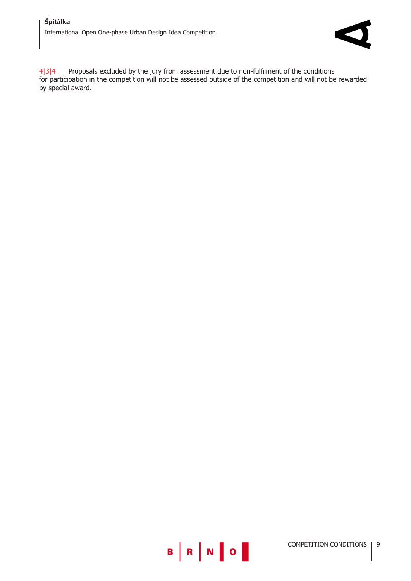

4|3|4 Proposals excluded by the jury from assessment due to non-fulfilment of the conditions for participation in the competition will not be assessed outside of the competition and will not be rewarded by special award.

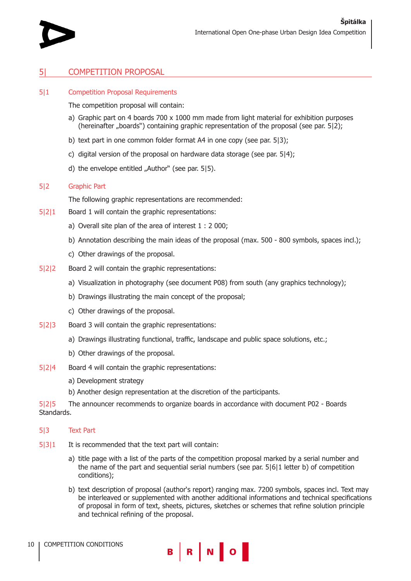

## 5| COMPETITION PROPOSAL

#### 5|1 Competition Proposal Requirements

The competition proposal will contain:

- a) Graphic part on 4 boards  $700 \times 1000$  mm made from light material for exhibition purposes (hereinafter "boards") containing graphic representation of the proposal (see par. 512);
- b) text part in one common folder format A4 in one copy (see par. 5|3);
- c) digital version of the proposal on hardware data storage (see par. 5|4);
- d) the envelope entitled "Author" (see par. 515).

#### 5|2 Graphic Part

The following graphic representations are recommended:

- 5|2|1 Board 1 will contain the graphic representations:
	- a) Overall site plan of the area of interest 1 : 2 000;
	- b) Annotation describing the main ideas of the proposal (max. 500 800 symbols, spaces incl.);
	- c) Other drawings of the proposal.
- 5|2|2 Board 2 will contain the graphic representations:
	- a) Visualization in photography (see document P08) from south (any graphics technology);
	- b) Drawings illustrating the main concept of the proposal;
	- c) Other drawings of the proposal.
- 5|2|3 Board 3 will contain the graphic representations:
	- a) Drawings illustrating functional, traffic, landscape and public space solutions, etc.;
	- b) Other drawings of the proposal.
- 5|2|4 Board 4 will contain the graphic representations:
	- a) Development strategy
	- b) Another design representation at the discretion of the participants.

5|2|5 The announcer recommends to organize boards in accordance with document P02 - Boards Standards.

#### 5|3 Text Part

- 5|3|1 It is recommended that the text part will contain:
	- a) title page with a list of the parts of the competition proposal marked by a serial number and the name of the part and sequential serial numbers (see par. 5|6|1 letter b) of competition conditions);
	- b) text description of proposal (author's report) ranging max. 7200 symbols, spaces incl. Text may be interleaved or supplemented with another additional informations and technical specifications of proposal in form of text, sheets, pictures, sketches or schemes that refine solution principle and technical refining of the proposal.

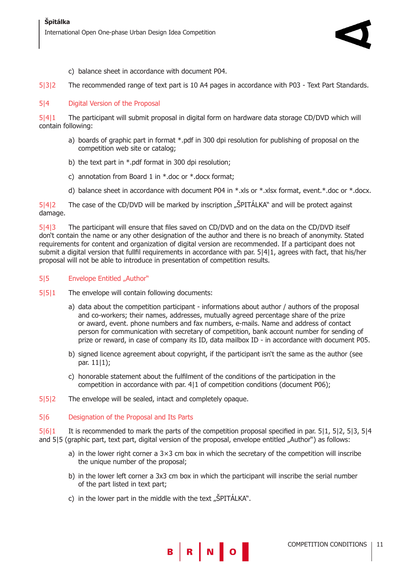

- c) balance sheet in accordance with document P04.
- 5|3|2 The recommended range of text part is 10 A4 pages in accordance with P03 Text Part Standards.

## 5|4 Digital Version of the Proposal

5|4|1 The participant will submit proposal in digital form on hardware data storage CD/DVD which will contain following:

- a) boards of graphic part in format \*.pdf in 300 dpi resolution for publishing of proposal on the competition web site or catalog;
- b) the text part in \*.pdf format in 300 dpi resolution;
- c) annotation from Board 1 in  $*$ .doc or  $*$ .docx format;
- d) balance sheet in accordance with document P04 in \*.xls or \*.xlsx format, event.\*.doc or \*.docx.

5|4|2 The case of the CD/DVD will be marked by inscription "ŠPITÁLKA" and will be protect against damage.

5|4|3 The participant will ensure that files saved on CD/DVD and on the data on the CD/DVD itself don't contain the name or any other designation of the author and there is no breach of anonymity. Stated requirements for content and organization of digital version are recommended. If a participant does not submit a digital version that fullfil requirements in accordance with par. 5|4|1, agrees with fact, that his/her proposal will not be able to introduce in presentation of competition results.

## 5|5 Envelope Entitled "Author"

- 5|5|1 The envelope will contain following documents:
	- a) data about the competition participant informations about author / authors of the proposal and co-workers; their names, addresses, mutually agreed percentage share of the prize or award, event. phone numbers and fax numbers, e-mails. Name and address of contact person for communication with secretary of competition, bank account number for sending of prize or reward, in case of company its ID, data mailbox ID - in accordance with document P05.
	- b) signed licence agreement about copyright, if the participant isn't the same as the author (see par. 11|1);
	- c) honorable statement about the fulfilment of the conditions of the participation in the competition in accordance with par. 4|1 of competition conditions (document P06);
- 5|5|2 The envelope will be sealed, intact and completely opaque.

## 5|6 Designation of the Proposal and Its Parts

5|6|1 It is recommended to mark the parts of the competition proposal specified in par. 5|1, 5|2, 5|3, 5|4 and 5|5 (graphic part, text part, digital version of the proposal, envelope entitled "Author") as follows:

- a) in the lower right corner a 3×3 cm box in which the secretary of the competition will inscribe the unique number of the proposal;
- b) in the lower left corner a 3x3 cm box in which the participant will inscribe the serial number of the part listed in text part;

B R N O

c) in the lower part in the middle with the text  $\mathcal{L}$ SPITÁLKA".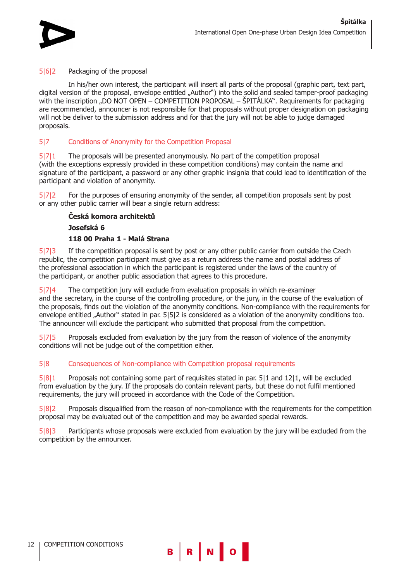

## 5|6|2 Packaging of the proposal

In his/her own interest, the participant will insert all parts of the proposal (graphic part, text part, digital version of the proposal, envelope entitled "Author") into the solid and sealed tamper-proof packaging with the inscription "DO NOT OPEN – COMPETITION PROPOSAL – ŠPITÁLKA". Requirements for packaging are recommended, announcer is not responsible for that proposals without proper designation on packaging will not be deliver to the submission address and for that the jury will not be able to judge damaged proposals.

## 5|7 Conditions of Anonymity for the Competition Proposal

5|7|1 The proposals will be presented anonymously. No part of the competition proposal (with the exceptions expressly provided in these competition conditions) may contain the name and signature of the participant, a password or any other graphic insignia that could lead to identification of the participant and violation of anonymity.

5|7|2 For the purposes of ensuring anonymity of the sender, all competition proposals sent by post or any other public carrier will bear a single return address:

## **Česká komora architektů**

**Josefská 6** 

## **118 00 Praha 1 - Malá Strana**

5|7|3 If the competition proposal is sent by post or any other public carrier from outside the Czech republic, the competition participant must give as a return address the name and postal address of the professional association in which the participant is registered under the laws of the country of the participant, or another public association that agrees to this procedure.

5|7|4 The competition jury will exclude from evaluation proposals in which re-examiner and the secretary, in the course of the controlling procedure, or the jury, in the course of the evaluation of the proposals, finds out the violation of the anonymity conditions. Non-compliance with the requirements for envelope entitled "Author" stated in par. 5|5|2 is considered as a violation of the anonymity conditions too. The announcer will exclude the participant who submitted that proposal from the competition.

5|7|5 Proposals excluded from evaluation by the jury from the reason of violence of the anonymity conditions will not be judge out of the competition either.

## 5|8 Consequences of Non-compliance with Competition proposal requirements

5|8|1 Proposals not containing some part of requisites stated in par. 5|1 and 12|1, will be excluded from evaluation by the jury. If the proposals do contain relevant parts, but these do not fulfil mentioned requirements, the jury will proceed in accordance with the Code of the Competition.

5|8|2 Proposals disqualified from the reason of non-compliance with the requirements for the competition proposal may be evaluated out of the competition and may be awarded special rewards.

5|8|3 Participants whose proposals were excluded from evaluation by the jury will be excluded from the competition by the announcer.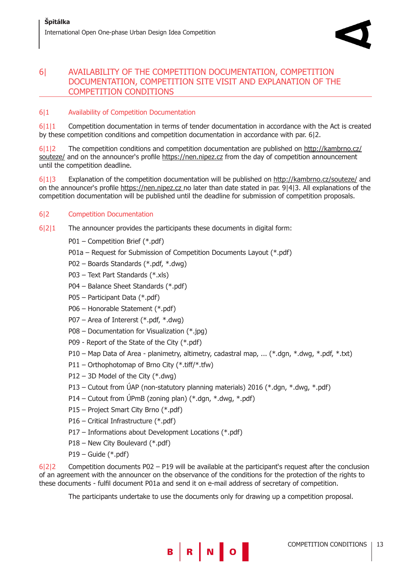## 6| AVAILABILITY OF THE COMPETITION DOCUMENTATION, COMPETITION DOCUMENTATION, COMPETITION SITE VISIT AND EXPLANATION OF THE COMPETITION CONDITIONS

## 6|1 Availability of Competition Documentation

6|1|1 Competition documentation in terms of tender documentation in accordance with the Act is created by these competition conditions and competition documentation in accordance with par. 6|2.

6|1|2 The competition conditions and competition documentation are published on http://kambrno.cz/ souteze/ and on the announcer's profile https://nen.nipez.cz from the day of competition announcement until the competition deadline.

6|1|3 Explanation of the competition documentation will be published on http://kambrno.cz/souteze/ and on the announcer's profile https://nen.nipez.cz no later than date stated in par. 9|4|3. All explanations of the competition documentation will be published until the deadline for submission of competition proposals.

## 6|2 Competition Documentation

- 6|2|1 The announcer provides the participants these documents in digital form:
	- P01 Competition Brief (\*.pdf)
	- P01a Request for Submission of Competition Documents Layout (\*.pdf)
	- P02 Boards Standards (\*.pdf, \*.dwg)
	- P03 Text Part Standards (\*.xls)
	- P04 Balance Sheet Standards (\*.pdf)
	- P05 Participant Data (\*.pdf)
	- P06 Honorable Statement (\*.pdf)
	- P07 Area of Intererst (\*.pdf, \*.dwg)
	- P08 Documentation for Visualization (\*.jpg)
	- P09 Report of the State of the City (\*.pdf)
	- P10 Map Data of Area planimetry, altimetry, cadastral map, ... (\*.dgn, \*.dwg, \*.pdf, \*.txt)
	- P11 Orthophotomap of Brno City (\*.tiff/\*.tfw)
	- P12 3D Model of the City (\*.dwg)
	- P13 Cutout from ÚAP (non-statutory planning materials) 2016 (\*.dgn, \*.dwg, \*.pdf)
	- P14 Cutout from ÚPmB (zoning plan) (\*.dgn, \*.dwg, \*.pdf)
	- P15 Project Smart City Brno (\*.pdf)
	- P16 Critical Infrastructure (\*.pdf)
	- P17 Informations about Development Locations (\*.pdf)
	- P18 New City Boulevard (\*.pdf)
	- P19 Guide (\*.pdf)

6|2|2 Competition documents P02 – P19 will be available at the participant's request after the conclusion of an agreement with the announcer on the observance of the conditions for the protection of the rights to these documents - fulfil document P01a and send it on e-mail address of secretary of competition.

The participants undertake to use the documents only for drawing up a competition proposal.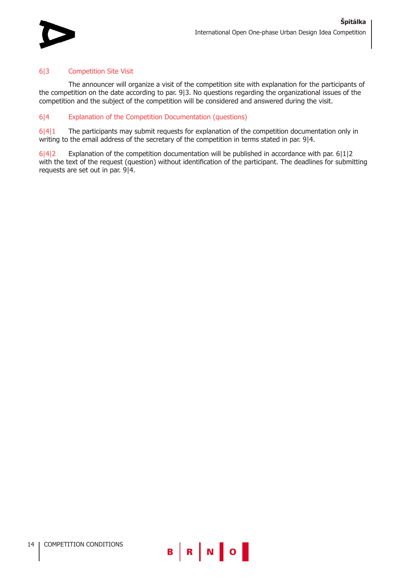

## 6|3 Competition Site Visit

The announcer will organize a visit of the competition site with explanation for the participants of the competition on the date according to par. 9|3. No questions regarding the organizational issues of the competition and the subject of the competition will be considered and answered during the visit.

## 6|4 Explanation of the Competition Documentation (questions)

6|4|1 The participants may submit requests for explanation of the competition documentation only in writing to the email address of the secretary of the competition in terms stated in par. 9|4.

6|4|2 Explanation of the competition documentation will be published in accordance with par. 6|1|2 with the text of the request (question) without identification of the participant. The deadlines for submitting requests are set out in par. 9|4.



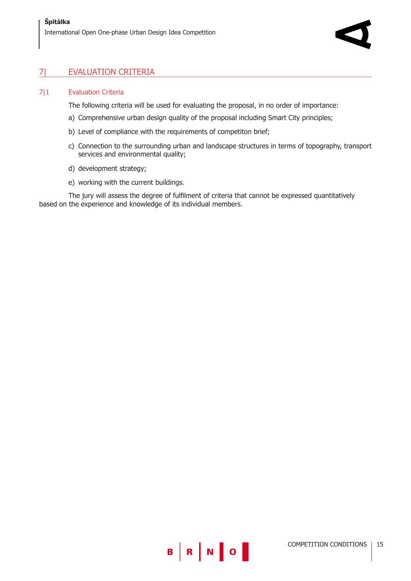## 7| EVALUATION CRITERIA

#### 7|1 Evaluation Criteria

The following criteria will be used for evaluating the proposal, in no order of importance:

- a) Comprehensive urban design quality of the proposal including Smart City principles;
- b) Level of compliance with the requirements of competiton brief;
- c) Connection to the surrounding urban and landscape structures in terms of topography, transport services and environmental quality;
- d) development strategy;
- e) working with the current buildings.

The jury will assess the degree of fulfilment of criteria that cannot be expressed quantitatively based on the experience and knowledge of its individual members.

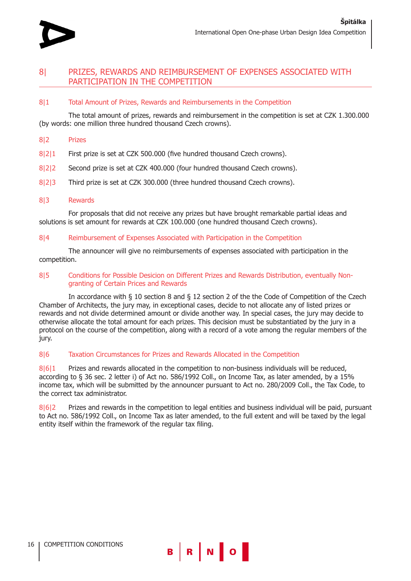

## 8| PRIZES, REWARDS AND REIMBURSEMENT OF EXPENSES ASSOCIATED WITH PARTICIPATION IN THE COMPETITION

## 8|1 Total Amount of Prizes, Rewards and Reimbursements in the Competition

The total amount of prizes, rewards and reimbursement in the competition is set at CZK 1.300.000 (by words: one million three hundred thousand Czech crowns).

#### 8|2 Prizes

- 8|2|1 First prize is set at CZK 500.000 (five hundred thousand Czech crowns).
- 8|2|2 Second prize is set at CZK 400.000 (four hundred thousand Czech crowns).
- 8|2|3 Third prize is set at CZK 300.000 (three hundred thousand Czech crowns).

#### 8|3 Rewards

For proposals that did not receive any prizes but have brought remarkable partial ideas and solutions is set amount for rewards at CZK 100.000 (one hundred thousand Czech crowns).

#### 8|4 Reimbursement of Expenses Associated with Participation in the Competition

The announcer will give no reimbursements of expenses associated with participation in the competition.

#### 8|5 Conditions for Possible Desicion on Different Prizes and Rewards Distribution, eventually Nongranting of Certain Prices and Rewards

In accordance with § 10 section 8 and § 12 section 2 of the the Code of Competition of the Czech Chamber of Architects, the jury may, in exceptional cases, decide to not allocate any of listed prizes or rewards and not divide determined amount or divide another way. In special cases, the jury may decide to otherwise allocate the total amount for each prizes. This decision must be substantiated by the jury in a protocol on the course of the competition, along with a record of a vote among the regular members of the jury.

## 8|6 Taxation Circumstances for Prizes and Rewards Allocated in the Competition

8|6|1 Prizes and rewards allocated in the competition to non-business individuals will be reduced, according to § 36 sec. 2 letter i) of Act no. 586/1992 Coll., on Income Tax, as later amended, by a 15% income tax, which will be submitted by the announcer pursuant to Act no. 280/2009 Coll., the Tax Code, to the correct tax administrator.

8|6|2 Prizes and rewards in the competition to legal entities and business individual will be paid, pursuant to Act no. 586/1992 Coll., on Income Tax as later amended, to the full extent and will be taxed by the legal entity itself within the framework of the regular tax filing.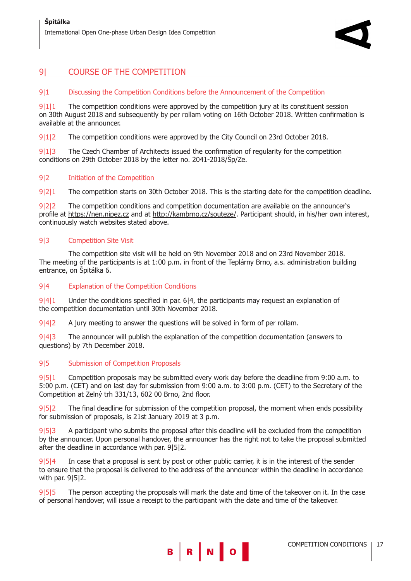## 9| COURSE OF THE COMPETITION

## 9|1 Discussing the Competition Conditions before the Announcement of the Competition

9|1|1 The competition conditions were approved by the competition jury at its constituent session on 30th August 2018 and subsequently by per rollam voting on 16th October 2018. Written confirmation is available at the announcer.

9|1|2 The competition conditions were approved by the City Council on 23rd October 2018.

9|1|3 The Czech Chamber of Architects issued the confirmation of regularity for the competition conditions on 29th October 2018 by the letter no. 2041-2018/Šp/Ze.

## 9|2 Initiation of the Competition

9|2|1 The competition starts on 30th October 2018. This is the starting date for the competition deadline.

9|2|2 The competition conditions and competition documentation are available on the announcer's profile at https://nen.nipez.cz and at http://kambrno.cz/souteze/. Participant should, in his/her own interest, continuously watch websites stated above.

## 9|3 Competition Site Visit

The competition site visit will be held on 9th November 2018 and on 23rd November 2018. The meeting of the participants is at 1:00 p.m. in front of the Teplárny Brno, a.s. administration building entrance, on Špitálka 6.

## 9|4 Explanation of the Competition Conditions

9|4|1 Under the conditions specified in par. 6|4, the participants may request an explanation of the competition documentation until 30th November 2018.

9|4|2 A jury meeting to answer the questions will be solved in form of per rollam.

9|4|3 The announcer will publish the explanation of the competition documentation (answers to questions) by 7th December 2018.

## 9|5 Submission of Competition Proposals

9|5|1 Competition proposals may be submitted every work day before the deadline from 9:00 a.m. to 5:00 p.m. (CET) and on last day for submission from 9:00 a.m. to 3:00 p.m. (CET) to the Secretary of the Competition at Zelný trh 331/13, 602 00 Brno, 2nd floor.

9|5|2 The final deadline for submission of the competition proposal, the moment when ends possibility for submission of proposals, is 21st January 2019 at 3 p.m.

9|5|3 A participant who submits the proposal after this deadline will be excluded from the competition by the announcer. Upon personal handover, the announcer has the right not to take the proposal submitted after the deadline in accordance with par. 9|5|2.

9|5|4 In case that a proposal is sent by post or other public carrier, it is in the interest of the sender to ensure that the proposal is delivered to the address of the announcer within the deadline in accordance with par. 9|5|2.

9|5|5 The person accepting the proposals will mark the date and time of the takeover on it. In the case of personal handover, will issue a receipt to the participant with the date and time of the takeover.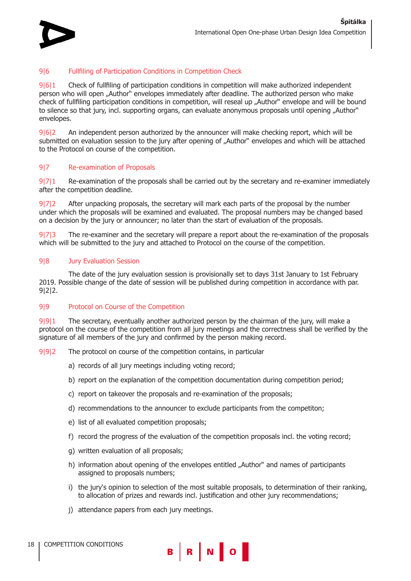

## 9|6 Fullfiling of Participation Conditions in Competition Check

9|6|1 Check of fullfiling of participation conditions in competition will make authorized independent person who will open "Author" envelopes immediately after deadline. The authorized person who make check of fullfiling participation conditions in competition, will reseal up "Author" envelope and will be bound to silence so that jury, incl. supporting organs, can evaluate anonymous proposals until opening "Author" envelopes.

9|6|2 An independent person authorized by the announcer will make checking report, which will be submitted on evaluation session to the jury after opening of "Author" envelopes and which will be attached to the Protocol on course of the competition.

#### 9|7 Re-examination of Proposals

9|7|1 Re-examination of the proposals shall be carried out by the secretary and re-examiner immediately after the competition deadline.

9|7|2 After unpacking proposals, the secretary will mark each parts of the proposal by the number under which the proposals will be examined and evaluated. The proposal numbers may be changed based on a decision by the jury or announcer; no later than the start of evaluation of the proposals.

9|7|3 The re-examiner and the secretary will prepare a report about the re-examination of the proposals which will be submitted to the jury and attached to Protocol on the course of the competition.

#### 9|8 Jury Evaluation Session

The date of the jury evaluation session is provisionally set to days 31st January to 1st February 2019. Possible change of the date of session will be published during competition in accordance with par. 9|2|2.

## 9|9 Protocol on Course of the Competition

9|9|1 The secretary, eventually another authorized person by the chairman of the jury, will make a protocol on the course of the competition from all jury meetings and the correctness shall be verified by the signature of all members of the jury and confirmed by the person making record.

- 9|9|2 The protocol on course of the competition contains, in particular
	- a) records of all jury meetings including voting record;
	- b) report on the explanation of the competition documentation during competition period;
	- c) report on takeover the proposals and re-examination of the proposals;
	- d) recommendations to the announcer to exclude participants from the competiton;
	- e) list of all evaluated competition proposals;
	- f) record the progress of the evaluation of the competition proposals incl. the voting record;
	- g) written evaluation of all proposals;
	- h) information about opening of the envelopes entitled "Author" and names of participants assigned to proposals numbers;
	- i) the jury's opinion to selection of the most suitable proposals, to determination of their ranking, to allocation of prizes and rewards incl. justification and other jury recommendations;
	- j) attendance papers from each jury meetings.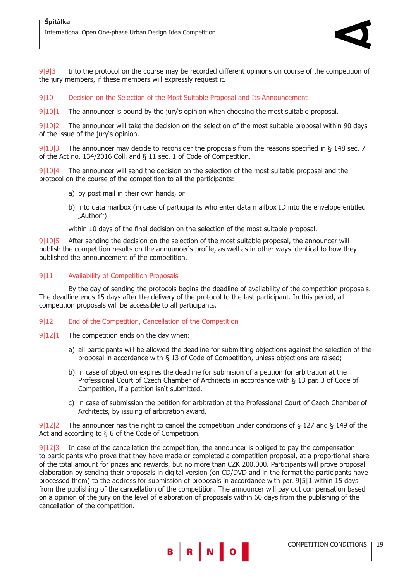

9|9|3 Into the protocol on the course may be recorded different opinions on course of the competition of the jury members, if these members will expressly request it.

## 9|10 Decision on the Selection of the Most Suitable Proposal and Its Announcement

9|10|1 The announcer is bound by the jury's opinion when choosing the most suitable proposal.

9|10|2 The announcer will take the decision on the selection of the most suitable proposal within 90 days of the issue of the jury's opinion.

9|10|3 The announcer may decide to reconsider the proposals from the reasons specified in § 148 sec. 7 of the Act no. 134/2016 Coll. and § 11 sec. 1 of Code of Competition.

9|10|4 The announcer will send the decision on the selection of the most suitable proposal and the protocol on the course of the competition to all the participants:

- a) by post mail in their own hands, or
- b) into data mailbox (in case of participants who enter data mailbox ID into the envelope entitled "Author")

within 10 days of the final decision on the selection of the most suitable proposal.

9|10|5 After sending the decision on the selection of the most suitable proposal, the announcer will publish the competition results on the announcer's profile, as well as in other ways identical to how they published the announcement of the competition.

## 9|11 Availability of Competition Proposals

By the day of sending the protocols begins the deadline of availability of the competition proposals. The deadline ends 15 days after the delivery of the protocol to the last participant. In this period, all competition proposals will be accessible to all participants.

## 9|12 End of the Competition, Cancellation of the Competition

- 9|12|1 The competition ends on the day when:
	- a) all participants will be allowed the deadline for submitting objections against the selection of the proposal in accordance with § 13 of Code of Competition, unless objections are raised;
	- b) in case of objection expires the deadline for submision of a petition for arbitration at the Professional Court of Czech Chamber of Architects in accordance with § 13 par. 3 of Code of Competition, if a petition isn't submitted.
	- c) in case of submission the petition for arbitration at the Professional Court of Czech Chamber of Architects, by issuing of arbitration award.

9|12|2 The announcer has the right to cancel the competition under conditions of § 127 and § 149 of the Act and according to § 6 of the Code of Competition.

9|12|3 In case of the cancellation the competition, the announcer is obliged to pay the compensation to participants who prove that they have made or completed a competition proposal, at a proportional share of the total amount for prizes and rewards, but no more than CZK 200.000. Participants will prove proposal elaboration by sending their proposals in digital version (on CD/DVD and in the format the participants have processed them) to the address for submission of proposals in accordance with par. 9|5|1 within 15 days from the publishing of the cancellation of the competition. The announcer will pay out compensation based on a opinion of the jury on the level of elaboration of proposals within 60 days from the publishing of the cancellation of the competition.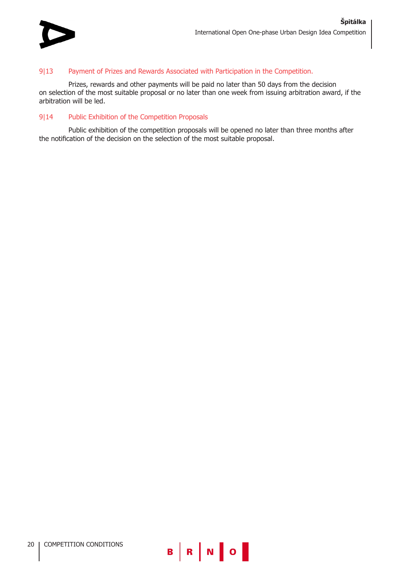

## 9|13 Payment of Prizes and Rewards Associated with Participation in the Competition.

Prizes, rewards and other payments will be paid no later than 50 days from the decision on selection of the most suitable proposal or no later than one week from issuing arbitration award, if the arbitration will be led.

## 9|14 Public Exhibition of the Competition Proposals

Public exhibition of the competition proposals will be opened no later than three months after the notification of the decision on the selection of the most suitable proposal.

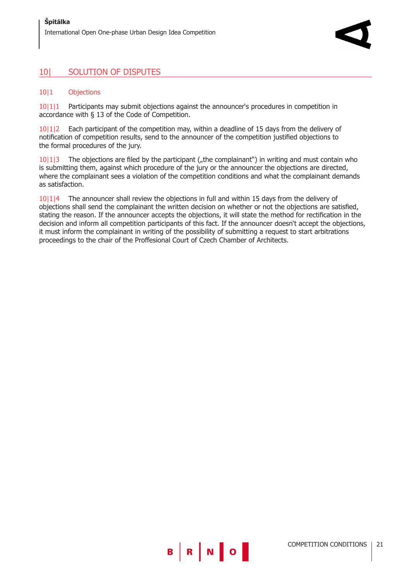## 10| SOLUTION OF DISPUTES

## 10|1 Objections

10|1|1 Participants may submit objections against the announcer's procedures in competition in accordance with § 13 of the Code of Competition.

10|1|2 Each participant of the competition may, within a deadline of 15 days from the delivery of notification of competition results, send to the announcer of the competition justified objections to the formal procedures of the jury.

 $10|1|3$  The objections are filed by the participant ( $n$ , the complainant") in writing and must contain who is submitting them, against which procedure of the jury or the announcer the objections are directed, where the complainant sees a violation of the competition conditions and what the complainant demands as satisfaction.

10|1|4 The announcer shall review the objections in full and within 15 days from the delivery of objections shall send the complainant the written decision on whether or not the objections are satisfied, stating the reason. If the announcer accepts the objections, it will state the method for rectification in the decision and inform all competition participants of this fact. If the announcer doesn't accept the objections, it must inform the complainant in writing of the possibility of submitting a request to start arbitrations proceedings to the chair of the Proffesional Court of Czech Chamber of Architects.

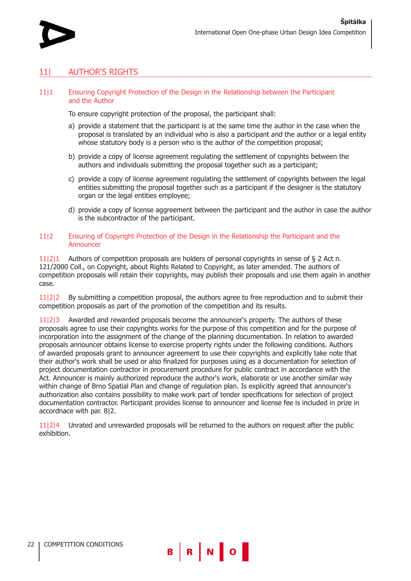

## 11| AUTHOR'S RIGHTS

#### 11|1 Ensuring Copyright Protection of the Design in the Relationship between the Participant and the Author

To ensure copyright protection of the proposal, the participant shall:

- a) provide a statement that the participant is at the same time the author in the case when the proposal is translated by an individual who is also a participant and the author or a legal entity whose statutory body is a person who is the author of the competition proposal;
- b) provide a copy of license agreement regulating the settlement of copyrights between the authors and individuals submitting the proposal together such as a participant;
- c) provide a copy of license agreement regulating the settlement of copyrights between the legal entities submitting the proposal together such as a participant if the designer is the statutory organ or the legal entities employee;
- d) provide a copy of license aggreement between the participant and the author in case the author is the subcontractor of the participant.

#### 11|2 Ensuring of Copyright Protection of the Design in the Relationship the Participant and the Announcer

11|2|1 Authors of competition proposals are holders of personal copyrights in sense of § 2 Act n. 121/2000 Coll., on Copyright, about Rights Related to Copyright, as later amended. The authors of competition proposals will retain their copyrights, may publish their proposals and use them again in another case.

11|2|2 By submitting a competition proposal, the authors agree to free reproduction and to submit their competition proposals as part of the promotion of the competition and its results.

11|2|3 Awarded and rewarded proposals become the announcer's property. The authors of these proposals agree to use their copyrights works for the purpose of this competition and for the purpose of incorporation into the assignment of the change of the planning documentation. In relation to awarded proposals announcer obtains license to exercise property rights under the following conditions. Authors of awarded proposals grant to announcer agreement to use their copyrights and explicitly take note that their author's work shall be used or also finalized for purposes using as a documentation for selection of project documentation contractor in procurement procedure for public contract in accordance with the Act. Announcer is mainly authorized reproduce the author's work, elaborate or use another similar way within change of Brno Spatial Plan and change of regulation plan. Is explicitly agreed that announcer's authorization also contains possibility to make work part of tender specifications for selection of project documentation contractor. Participant provides license to announcer and license fee is included in prize in accordnace with par. 8|2.

11|2|4 Unrated and unrewarded proposals will be returned to the authors on request after the public exhibition.